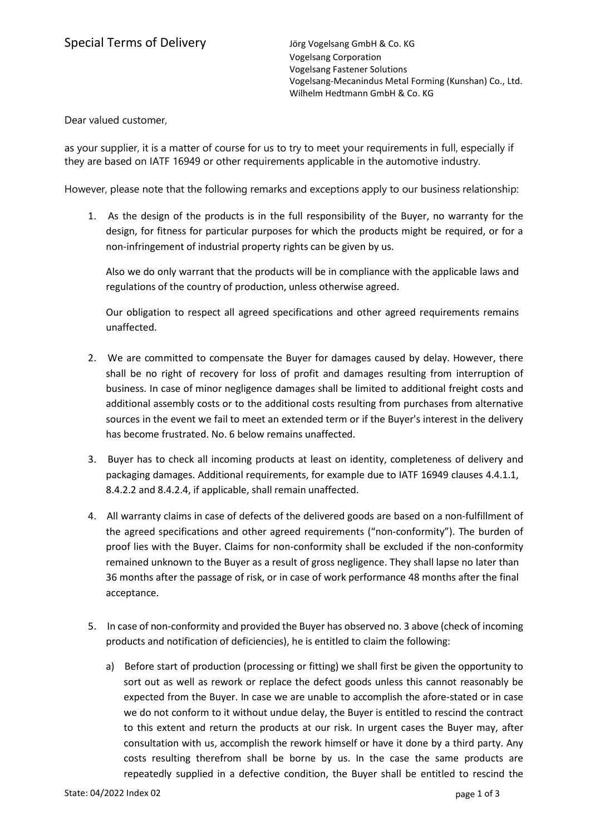Dear valued customer,

as your supplier, it is a matter of course for us to try to meet your requirements in full, especially if they are based on IATF 16949 or other requirements applicable in the automotive industry.

However, please note that the following remarks and exceptions apply to our business relationship:

1. As the design of the products is in the full responsibility of the Buyer, no warranty for the design, for fitness for particular purposes for which the products might be required, or for a non-infringement of industrial property rights can be given by us.

Also we do only warrant that the products will be in compliance with the applicable laws and regulations of the country of production, unless otherwise agreed.

Our obligation to respect all agreed specifications and other agreed requirements remains unaffected.

- 2. We are committed to compensate the Buyer for damages caused by delay. However, there shall be no right of recovery for loss of profit and damages resulting from interruption of business. In case of minor negligence damages shall be limited to additional freight costs and additional assembly costs or to the additional costs resulting from purchases from alternative sources in the event we fail to meet an extended term or if the Buyer's interest in the delivery has become frustrated. No. 6 below remains unaffected.
- 3. Buyer has to check all incoming products at least on identity, completeness of delivery and packaging damages. Additional requirements, for example due to IATF 16949 clauses 4.4.1.1, 8.4.2.2 and 8.4.2.4, if applicable, shall remain unaffected.
- 4. All warranty claims in case of defects of the delivered goods are based on a non-fulfillment of the agreed specifications and other agreed requirements ("non-conformity"). The burden of proof lies with the Buyer. Claims for non-conformity shall be excluded if the non-conformity remained unknown to the Buyer as a result of gross negligence. They shall lapse no later than 36 months after the passage of risk, or in case of work performance 48 months after the final acceptance.
- 5. In case of non-conformity and provided the Buyer has observed no. 3 above (check of incoming products and notification of deficiencies), he is entitled to claim the following:
	- a) Before start of production (processing or fitting) we shall first be given the opportunity to sort out as well as rework or replace the defect goods unless this cannot reasonably be expected from the Buyer. In case we are unable to accomplish the afore-stated or in case we do not conform to it without undue delay, the Buyer is entitled to rescind the contract to this extent and return the products at our risk. In urgent cases the Buyer may, after consultation with us, accomplish the rework himself or have it done by a third party. Any costs resulting therefrom shall be borne by us. In the case the same products are repeatedly supplied in a defective condition, the Buyer shall be entitled to rescind the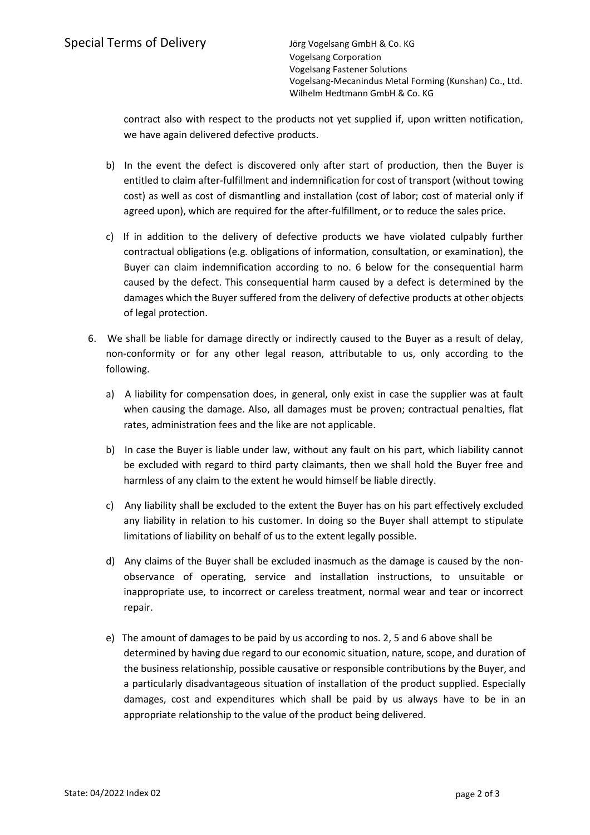Vogelsang Corporation Vogelsang Fastener Solutions Vogelsang-Mecanindus Metal Forming (Kunshan) Co., Ltd. Wilhelm Hedtmann GmbH & Co. KG

contract also with respect to the products not yet supplied if, upon written notification, we have again delivered defective products.

- b) In the event the defect is discovered only after start of production, then the Buyer is entitled to claim after-fulfillment and indemnification for cost of transport (without towing cost) as well as cost of dismantling and installation (cost of labor; cost of material only if agreed upon), which are required for the after-fulfillment, or to reduce the sales price.
- c) If in addition to the delivery of defective products we have violated culpably further contractual obligations (e.g. obligations of information, consultation, or examination), the Buyer can claim indemnification according to no. 6 below for the consequential harm caused by the defect. This consequential harm caused by a defect is determined by the damages which the Buyer suffered from the delivery of defective products at other objects of legal protection.
- 6. We shall be liable for damage directly or indirectly caused to the Buyer as a result of delay, non-conformity or for any other legal reason, attributable to us, only according to the following.
	- a) A liability for compensation does, in general, only exist in case the supplier was at fault when causing the damage. Also, all damages must be proven; contractual penalties, flat rates, administration fees and the like are not applicable.
	- b) In case the Buyer is liable under law, without any fault on his part, which liability cannot be excluded with regard to third party claimants, then we shall hold the Buyer free and harmless of any claim to the extent he would himself be liable directly.
	- c) Any liability shall be excluded to the extent the Buyer has on his part effectively excluded any liability in relation to his customer. In doing so the Buyer shall attempt to stipulate limitations of liability on behalf of us to the extent legally possible.
	- d) Any claims of the Buyer shall be excluded inasmuch as the damage is caused by the nonobservance of operating, service and installation instructions, to unsuitable or inappropriate use, to incorrect or careless treatment, normal wear and tear or incorrect repair.
	- e) The amount of damages to be paid by us according to nos. 2, 5 and 6 above shall be determined by having due regard to our economic situation, nature, scope, and duration of the business relationship, possible causative or responsible contributions by the Buyer, and a particularly disadvantageous situation of installation of the product supplied. Especially damages, cost and expenditures which shall be paid by us always have to be in an appropriate relationship to the value of the product being delivered.